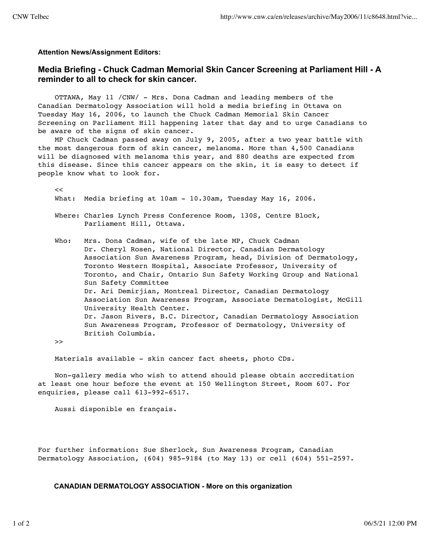**Attention News/Assignment Editors:**

## **Media Briefing - Chuck Cadman Memorial Skin Cancer Screening at Parliament Hill - A reminder to all to check for skin cancer.**

 OTTAWA, May 11 /CNW/ - Mrs. Dona Cadman and leading members of the Canadian Dermatology Association will hold a media briefing in Ottawa on Tuesday May 16, 2006, to launch the Chuck Cadman Memorial Skin Cancer Screening on Parliament Hill happening later that day and to urge Canadians to be aware of the signs of skin cancer.

 MP Chuck Cadman passed away on July 9, 2005, after a two year battle with the most dangerous form of skin cancer, melanoma. More than 4,500 Canadians will be diagnosed with melanoma this year, and 880 deaths are expected from this disease. Since this cancer appears on the skin, it is easy to detect if people know what to look for.

 $\epsilon$ What: Media briefing at 10am - 10.30am, Tuesday May 16, 2006.

 Where: Charles Lynch Press Conference Room, 130S, Centre Block, Parliament Hill, Ottawa.

 Who: Mrs. Dona Cadman, wife of the late MP, Chuck Cadman Dr. Cheryl Rosen, National Director, Canadian Dermatology Association Sun Awareness Program, head, Division of Dermatology, Toronto Western Hospital, Associate Professor, University of Toronto, and Chair, Ontario Sun Safety Working Group and National Sun Safety Committee Dr. Ari Demirjian, Montreal Director, Canadian Dermatology Association Sun Awareness Program, Associate Dermatologist, McGill University Health Center. Dr. Jason Rivers, B.C. Director, Canadian Dermatology Association Sun Awareness Program, Professor of Dermatology, University of British Columbia.

>>

Materials available - skin cancer fact sheets, photo CDs.

 Non-gallery media who wish to attend should please obtain accreditation at least one hour before the event at 150 Wellington Street, Room 607. For enquiries, please call 613-992-6517.

Aussi disponible en français.

For further information: Sue Sherlock, Sun Awareness Program, Canadian Dermatology Association, (604) 985-9184 (to May 13) or cell (604) 551-2597.

**CANADIAN DERMATOLOGY ASSOCIATION - More on this organization**